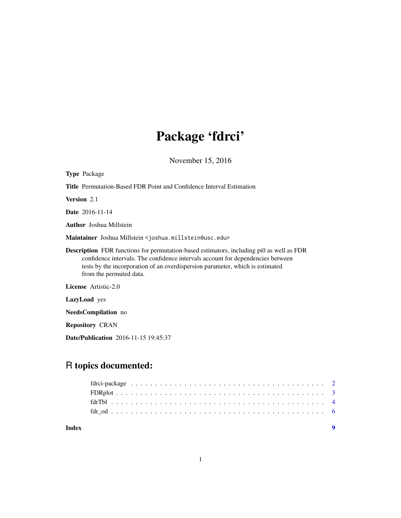# Package 'fdrci'

November 15, 2016

| <b>Type Package</b>                                                                                                                                                                                                                                                                            |
|------------------------------------------------------------------------------------------------------------------------------------------------------------------------------------------------------------------------------------------------------------------------------------------------|
| <b>Title</b> Permutation-Based FDR Point and Confidence Interval Estimation                                                                                                                                                                                                                    |
| <b>Version</b> 2.1                                                                                                                                                                                                                                                                             |
| <b>Date</b> 2016-11-14                                                                                                                                                                                                                                                                         |
| <b>Author</b> Joshua Millstein                                                                                                                                                                                                                                                                 |
| Maintainer Joshua Millstein < joshua.millstein@usc.edu>                                                                                                                                                                                                                                        |
| <b>Description</b> FDR functions for permutation-based estimators, including pi0 as well as FDR<br>confidence intervals. The confidence intervals account for dependencies between<br>tests by the incorporation of an overdispersion parameter, which is estimated<br>from the permuted data. |
| License Artistic-2.0                                                                                                                                                                                                                                                                           |
| <b>LazyLoad</b> yes                                                                                                                                                                                                                                                                            |
| <b>NeedsCompilation</b> no                                                                                                                                                                                                                                                                     |
| <b>Repository CRAN</b>                                                                                                                                                                                                                                                                         |
|                                                                                                                                                                                                                                                                                                |

Date/Publication 2016-11-15 19:45:37

# R topics documented:

| Index |  |  |  |  |  |  |  |  |  |  |  |  |  |  |  |  |  |  |
|-------|--|--|--|--|--|--|--|--|--|--|--|--|--|--|--|--|--|--|
|       |  |  |  |  |  |  |  |  |  |  |  |  |  |  |  |  |  |  |
|       |  |  |  |  |  |  |  |  |  |  |  |  |  |  |  |  |  |  |
|       |  |  |  |  |  |  |  |  |  |  |  |  |  |  |  |  |  |  |
|       |  |  |  |  |  |  |  |  |  |  |  |  |  |  |  |  |  |  |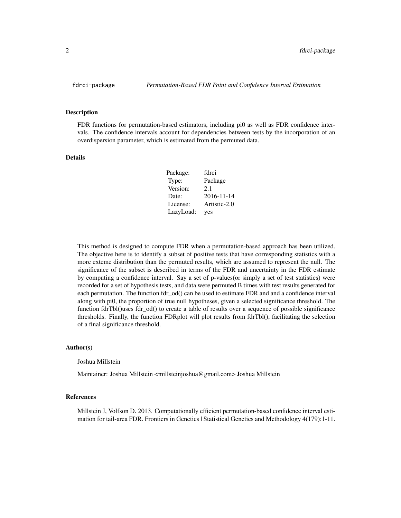#### Description

FDR functions for permutation-based estimators, including pi0 as well as FDR confidence intervals. The confidence intervals account for dependencies between tests by the incorporation of an overdispersion parameter, which is estimated from the permuted data.

# Details

| Package:  | fdrci        |
|-----------|--------------|
| Type:     | Package      |
| Version:  | 2.1          |
| Date:     | 2016-11-14   |
| License:  | Artistic-2.0 |
| LazyLoad: | yes          |

This method is designed to compute FDR when a permutation-based approach has been utilized. The objective here is to identify a subset of positive tests that have corresponding statistics with a more exteme distribution than the permuted results, which are assumed to represent the null. The significance of the subset is described in terms of the FDR and uncertainty in the FDR estimate by computing a confidence interval. Say a set of p-values(or simply a set of test statistics) were recorded for a set of hypothesis tests, and data were permuted B times with test results generated for each permutation. The function fdr od() can be used to estimate FDR and and a confidence interval along with pi0, the proportion of true null hypotheses, given a selected significance threshold. The function fdrTbl()uses fdr\_od() to create a table of results over a sequence of possible significance thresholds. Finally, the function FDRplot will plot results from fdrTbl(), facilitating the selection of a final significance threshold.

#### Author(s)

Joshua Millstein

Maintainer: Joshua Millstein <millsteinjoshua@gmail.com> Joshua Millstein

#### References

Millstein J, Volfson D. 2013. Computationally efficient permutation-based confidence interval estimation for tail-area FDR. Frontiers in Genetics | Statistical Genetics and Methodology 4(179):1-11.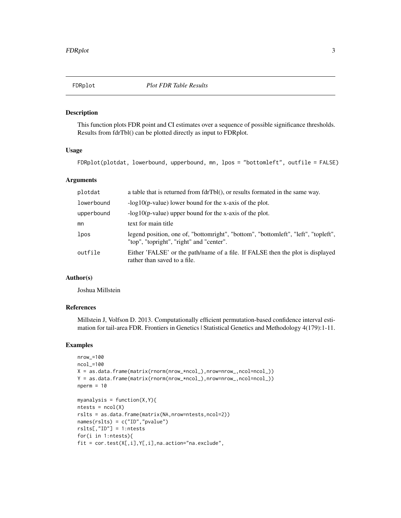<span id="page-2-0"></span>

# Description

This function plots FDR point and CI estimates over a sequence of possible significance thresholds. Results from fdrTbl() can be plotted directly as input to FDRplot.

#### Usage

FDRplot(plotdat, lowerbound, upperbound, mn, lpos = "bottomleft", outfile = FALSE)

# Arguments

| plotdat    | a table that is returned from fdrTbl(), or results formated in the same way.                                                   |
|------------|--------------------------------------------------------------------------------------------------------------------------------|
| lowerbound | $-log10(p-value)$ lower bound for the x-axis of the plot.                                                                      |
| upperbound | $-log10(p-value)$ upper bound for the x-axis of the plot.                                                                      |
| mn         | text for main title                                                                                                            |
| lpos       | legend position, one of, "bottomright", "bottom", "bottomleft", "left", "topleft",<br>"top", "topright", "right" and "center". |
| outfile    | Either 'FALSE' or the path/name of a file. If FALSE then the plot is displayed<br>rather than saved to a file.                 |

#### Author(s)

Joshua Millstein

# References

Millstein J, Volfson D. 2013. Computationally efficient permutation-based confidence interval estimation for tail-area FDR. Frontiers in Genetics | Statistical Genetics and Methodology 4(179):1-11.

# Examples

```
nrow_=100
ncol_=100
X = as.data frame(matrix(rnorm(nrow\_*ncol_)),nrow=nrow_ ,ncol=ncol_ ))Y = as.data.frame(matrix(rnorm(nrow_*ncol_),nrow=nrow_,ncol=ncol_))
nperm = 10myanalysis = function(X, Y)ntests = ncol(X)rslts = as.data.frame(matrix(NA,nrow=ntests,ncol=2))
names(rslts) = c("ID","pvalue")
rslts[,"ID"] = 1:ntests
for(i in 1:ntests){
fit = cor.test(X[,i],Y[,i],na.action="na.exclude",
```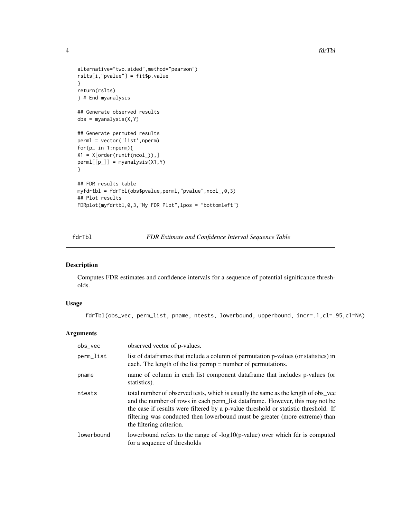```
alternative="two.sided",method="pearson")
rslts[i,"pvalue"] = fit$p.value
}
return(rslts)
} # End myanalysis
## Generate observed results
obs = myanalysis(X, Y)## Generate permuted results
perml = vector('list',nperm)
for(p_ in 1:nperm){
X1 = X[order(runif(ncol_)),]perm[[p_]] = myanalysis(X1, Y)}
## FDR results table
myfdrtbl = fdrTbl(obs$pvalue,perml,"pvalue",ncol_,0,3)
## Plot results
FDRplot(myfdrtbl,0,3,"My FDR Plot",lpos = "bottomleft")
```
fdrTbl *FDR Estimate and Confidence Interval Sequence Table*

#### Description

Computes FDR estimates and confidence intervals for a sequence of potential significance thresholds.

# Usage

fdrTbl(obs\_vec, perm\_list, pname, ntests, lowerbound, upperbound, incr=.1,cl=.95,c1=NA)

# Arguments

| $obs\_vec$ | observed vector of p-values.                                                                                                                                                                                                                                                                                                                                          |
|------------|-----------------------------------------------------------------------------------------------------------------------------------------------------------------------------------------------------------------------------------------------------------------------------------------------------------------------------------------------------------------------|
| perm_list  | list of data frames that include a column of permutation p-values (or statistics) in<br>each. The length of the list permp = number of permutations.                                                                                                                                                                                                                  |
| pname      | name of column in each list component data frame that includes p-values (or<br>statistics).                                                                                                                                                                                                                                                                           |
| ntests     | total number of observed tests, which is usually the same as the length of obs_vec<br>and the number of rows in each perm_list data frame. However, this may not be<br>the case if results were filtered by a p-value threshold or statistic threshold. If<br>filtering was conducted then lowerbound must be greater (more extreme) than<br>the filtering criterion. |
| lowerbound | lowerbound refers to the range of $-log10(p-value)$ over which fdr is computed<br>for a sequence of thresholds                                                                                                                                                                                                                                                        |

<span id="page-3-0"></span>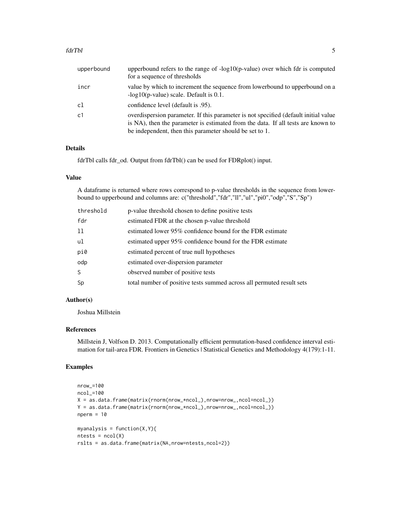#### fdrTbl 5

| upperbound     | upperbound refers to the range of $-log10(p-value)$ over which fdr is computed<br>for a sequence of thresholds                                                                                                                     |
|----------------|------------------------------------------------------------------------------------------------------------------------------------------------------------------------------------------------------------------------------------|
| incr           | value by which to increment the sequence from lowerbound to upperbound on a<br>$-log10(p-value) scale. Default is 0.1.$                                                                                                            |
| cl             | confidence level (default is .95).                                                                                                                                                                                                 |
| c <sub>1</sub> | overdispersion parameter. If this parameter is not specified (default initial value<br>is NA), then the parameter is estimated from the data. If all tests are known to<br>be independent, then this parameter should be set to 1. |

# Details

fdrTbl calls fdr\_od. Output from fdrTbl() can be used for FDRplot() input.

#### Value

A dataframe is returned where rows correspond to p-value thresholds in the sequence from lowerbound to upperbound and columns are: c("threshold","fdr","ll","ul","pi0","odp","S","Sp")

| threshold | p-value threshold chosen to define positive tests                     |
|-----------|-----------------------------------------------------------------------|
| fdr       | estimated FDR at the chosen p-value threshold                         |
| 11        | estimated lower 95% confidence bound for the FDR estimate             |
| ul        | estimated upper 95% confidence bound for the FDR estimate             |
| pi0       | estimated percent of true null hypotheses                             |
| odp       | estimated over-dispersion parameter                                   |
| S.        | observed number of positive tests                                     |
| Sp        | total number of positive tests summed across all permuted result sets |

# Author(s)

Joshua Millstein

# References

Millstein J, Volfson D. 2013. Computationally efficient permutation-based confidence interval estimation for tail-area FDR. Frontiers in Genetics | Statistical Genetics and Methodology 4(179):1-11.

# Examples

```
nrow_=100
ncol_=100
X = as.data.frame(matrix(rnorm(nrow_*ncol_),nrow=nrow_,ncol=ncol_))
Y = as.data.frame(matrix(rnorm(nrow_*ncol_),nrow=nrow_,ncol=ncol_))
nperm = 10myanalysis = function(X, Y)ntests = ncol(X)rslts = as.data.frame(matrix(NA,nrow=ntests,ncol=2))
```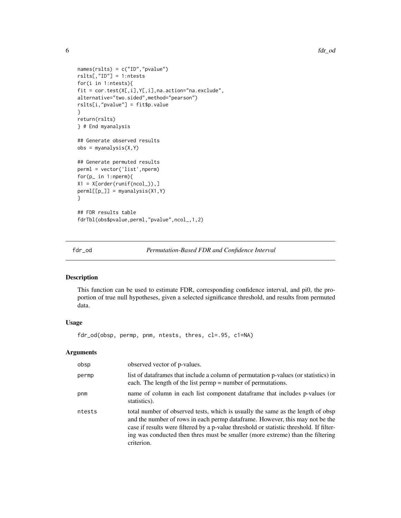```
names(rslts) = c("ID","pvalue")
rslts[,"ID"] = 1:ntests
for(i in 1:ntests){
fit = cor.test(X[,i],Y[,i],na.action="na.exclude",
alternative="two.sided",method="pearson")
rslts[i,"pvalue"] = fit$p.value
}
return(rslts)
} # End myanalysis
## Generate observed results
obs = myanalysis(X,Y)
## Generate permuted results
perml = vector('list',nperm)
for(p_ in 1:nperm){
X1 = X[order(runif(ncol_)),]
perml[[p_]] = myanalysis(X1,Y)
}
## FDR results table
fdrTbl(obs$pvalue,perml,"pvalue",ncol_,1,2)
```
fdr\_od *Permutation-Based FDR and Confidence Interval*

#### Description

This function can be used to estimate FDR, corresponding confidence interval, and pi0, the proportion of true null hypotheses, given a selected significance threshold, and results from permuted data.

## Usage

fdr\_od(obsp, permp, pnm, ntests, thres, cl=.95, c1=NA)

# Arguments

| obsp   | observed vector of p-values.                                                                                                                                                                                                                                                                                                                               |
|--------|------------------------------------------------------------------------------------------------------------------------------------------------------------------------------------------------------------------------------------------------------------------------------------------------------------------------------------------------------------|
| permp  | list of dataframes that include a column of permutation p-values (or statistics) in<br>each. The length of the list permp = number of permutations.                                                                                                                                                                                                        |
| pnm    | name of column in each list component data frame that includes p-values (or<br>statistics).                                                                                                                                                                                                                                                                |
| ntests | total number of observed tests, which is usually the same as the length of obsp<br>and the number of rows in each permp dataframe. However, this may not be the<br>case if results were filtered by a p-value threshold or statistic threshold. If filter-<br>ing was conducted then thres must be smaller (more extreme) than the filtering<br>criterion. |

<span id="page-5-0"></span>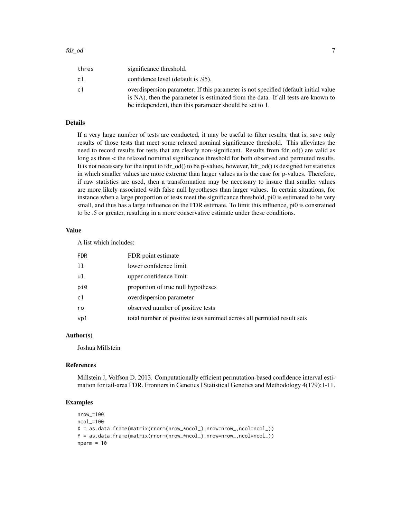| thres | significance threshold.                                                                                                                                                                                                            |
|-------|------------------------------------------------------------------------------------------------------------------------------------------------------------------------------------------------------------------------------------|
| cl    | confidence level (default is .95).                                                                                                                                                                                                 |
| c1    | overdispersion parameter. If this parameter is not specified (default initial value<br>is NA), then the parameter is estimated from the data. If all tests are known to<br>be independent, then this parameter should be set to 1. |

#### Details

If a very large number of tests are conducted, it may be useful to filter results, that is, save only results of those tests that meet some relaxed nominal significance threshold. This alleviates the need to record results for tests that are clearly non-significant. Results from fdr\_od() are valid as long as thres < the relaxed nomimal significance threshold for both observed and permuted results. It is not necessary for the input to fdr\_od() to be p-values, however, fdr\_od() is designed for statistics in which smaller values are more extreme than larger values as is the case for p-values. Therefore, if raw statistics are used, then a transformation may be necessary to insure that smaller values are more likely associated with false null hypotheses than larger values. In certain situations, for instance when a large proportion of tests meet the significance threshold, pi0 is estimated to be very small, and thus has a large influence on the FDR estimate. To limit this influence, pi0 is constrained to be .5 or greater, resulting in a more conservative estimate under these conditions.

# Value

A list which includes:

| <b>FDR</b> | FDR point estimate                                                    |
|------------|-----------------------------------------------------------------------|
| 11         | lower confidence limit                                                |
| ul         | upper confidence limit                                                |
| pi0        | proportion of true null hypotheses                                    |
| c1         | overdispersion parameter                                              |
| ro         | observed number of positive tests                                     |
| vp1        | total number of positive tests summed across all permuted result sets |

# Author(s)

Joshua Millstein

#### References

Millstein J, Volfson D. 2013. Computationally efficient permutation-based confidence interval estimation for tail-area FDR. Frontiers in Genetics | Statistical Genetics and Methodology 4(179):1-11.

# Examples

```
nrow_=100
ncol_=100
X = as.data.frame(matrix(rnorm(nrow_*ncol_),nrow=nrow_,ncol=ncol_))
Y = as.data.frame(matrix(rnorm(nrow_*ncol_),nrow=nrow_,ncol=ncol_))
nperm = 10
```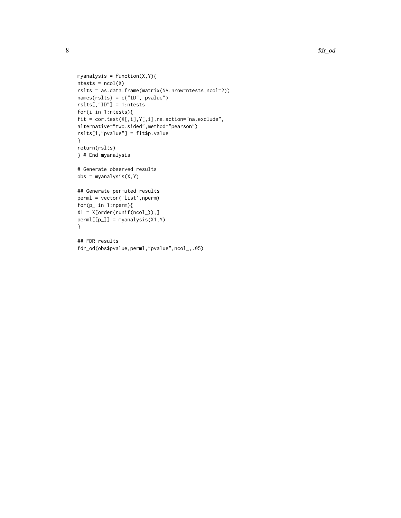```
myanalysis = function(X, Y)ntests = ncol(X)rslts = as.data.frame(matrix(NA,nrow=ntests,ncol=2))
names(rslts) = c("ID","pvalue")
rslts[,"ID"] = 1:ntests
for(i in 1:ntests){
fit = cor.test(X[,i],Y[,i],na.action="na.exclude",
alternative="two.sided",method="pearson")
rslts[i,"pvalue"] = fit$p.value
}
return(rslts)
} # End myanalysis
# Generate observed results
obs = myanalysis(X,Y)
## Generate permuted results
perml = vector('list',nperm)
for(p_ in 1:nperm){
X1 = X[order(runif(ncol_)),]
perm[[p_]] = myanalysis(X1,Y)}
## FDR results
fdr_od(obs$pvalue,perml,"pvalue",ncol_,.05)
```